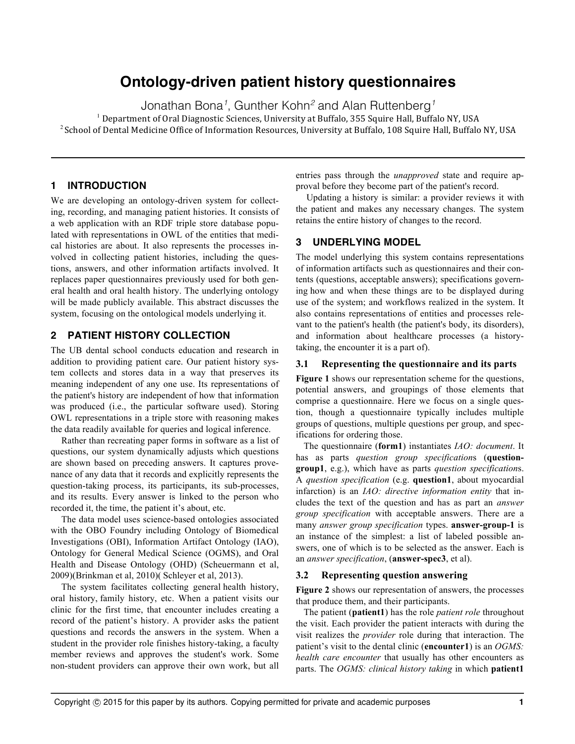# **Ontology-driven patient history questionnaires**

Jonathan Bona*<sup>1</sup>* , Gunther Kohn*<sup>2</sup>* and Alan Ruttenberg*<sup>1</sup>*

 $<sup>1</sup>$  Department of Oral Diagnostic Sciences, University at Buffalo, 355 Squire Hall, Buffalo NY, USA</sup>

<sup>2</sup> School of Dental Medicine Office of Information Resources, University at Buffalo, 108 Squire Hall, Buffalo NY, USA

## **1 INTRODUCTION**

We are developing an ontology-driven system for collecting, recording, and managing patient histories. It consists of a web application with an RDF triple store database populated with representations in OWL of the entities that medical histories are about. It also represents the processes involved in collecting patient histories, including the questions, answers, and other information artifacts involved. It replaces paper questionnaires previously used for both general health and oral health history. The underlying ontology will be made publicly available. This abstract discusses the system, focusing on the ontological models underlying it.

## **2 PATIENT HISTORY COLLECTION**

The UB dental school conducts education and research in addition to providing patient care. Our patient history system collects and stores data in a way that preserves its meaning independent of any one use. Its representations of the patient's history are independent of how that information was produced (i.e., the particular software used). Storing OWL representations in a triple store with reasoning makes the data readily available for queries and logical inference.

Rather than recreating paper forms in software as a list of questions, our system dynamically adjusts which questions are shown based on preceding answers. It captures provenance of any data that it records and explicitly represents the question-taking process, its participants, its sub-processes, and its results. Every answer is linked to the person who recorded it, the time, the patient it's about, etc.

The data model uses science-based ontologies associated with the OBO Foundry including Ontology of Biomedical Investigations (OBI), Information Artifact Ontology (IAO), Ontology for General Medical Science (OGMS), and Oral Health and Disease Ontology (OHD) (Scheuermann et al, 2009)(Brinkman et al, 2010)( Schleyer et al, 2013).

The system facilitates collecting general health history, oral history, family history, etc. When a patient visits our clinic for the first time, that encounter includes creating a record of the patient's history. A provider asks the patient questions and records the answers in the system. When a student in the provider role finishes history-taking, a faculty member reviews and approves the student's work. Some non-student providers can approve their own work, but all entries pass through the *unapproved* state and require approval before they become part of the patient's record.

Updating a history is similar: a provider reviews it with the patient and makes any necessary changes. The system retains the entire history of changes to the record.

## **3 UNDERLYING MODEL**

The model underlying this system contains representations of information artifacts such as questionnaires and their contents (questions, acceptable answers); specifications governing how and when these things are to be displayed during use of the system; and workflows realized in the system. It also contains representations of entities and processes relevant to the patient's health (the patient's body, its disorders), and information about healthcare processes (a historytaking, the encounter it is a part of).

### **3.1 Representing the questionnaire and its parts**

**Figure 1** shows our representation scheme for the questions, potential answers, and groupings of those elements that comprise a questionnaire. Here we focus on a single question, though a questionnaire typically includes multiple groups of questions, multiple questions per group, and specifications for ordering those.

The questionnaire (**form1**) instantiates *IAO: document*. It has as parts *question group specification*s (**questiongroup1**, e.g.), which have as parts *question specification*s. A *question specification* (e.g. **question1**, about myocardial infarction) is an *IAO: directive information entity* that includes the text of the question and has as part an *answer group specification* with acceptable answers. There are a many *answer group specification* types. **answer-group-1** is an instance of the simplest: a list of labeled possible answers, one of which is to be selected as the answer. Each is an *answer specification*, (**answer-spec3**, et al).

#### **3.2 Representing question answering**

**Figure 2** shows our representation of answers, the processes that produce them, and their participants.

The patient (**patient1**) has the role *patient role* throughout the visit. Each provider the patient interacts with during the visit realizes the *provider* role during that interaction. The patient's visit to the dental clinic (**encounter1**) is an *OGMS: health care encounter* that usually has other encounters as parts. The *OGMS: clinical history taking* in which **patient1**